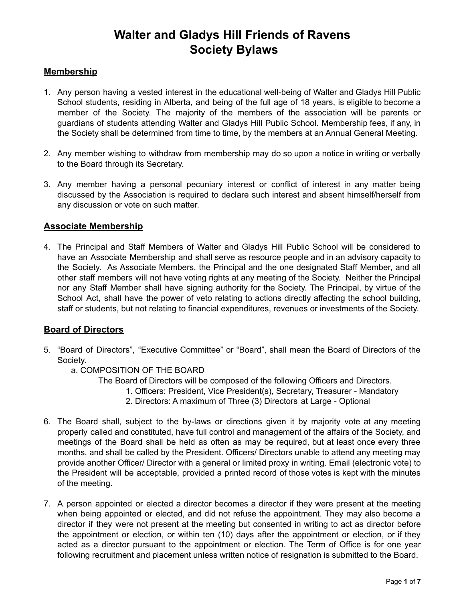### **Membership**

- 1. Any person having a vested interest in the educational well-being of Walter and Gladys Hill Public School students, residing in Alberta, and being of the full age of 18 years, is eligible to become a member of the Society. The majority of the members of the association will be parents or guardians of students attending Walter and Gladys Hill Public School. Membership fees, if any, in the Society shall be determined from time to time, by the members at an Annual General Meeting.
- 2. Any member wishing to withdraw from membership may do so upon a notice in writing or verbally to the Board through its Secretary.
- 3. Any member having a personal pecuniary interest or conflict of interest in any matter being discussed by the Association is required to declare such interest and absent himself/herself from any discussion or vote on such matter.

### **Associate Membership**

4. The Principal and Staff Members of Walter and Gladys Hill Public School will be considered to have an Associate Membership and shall serve as resource people and in an advisory capacity to the Society. As Associate Members, the Principal and the one designated Staff Member, and all other staff members will not have voting rights at any meeting of the Society. Neither the Principal nor any Staff Member shall have signing authority for the Society. The Principal, by virtue of the School Act, shall have the power of veto relating to actions directly affecting the school building, staff or students, but not relating to financial expenditures, revenues or investments of the Society.

## **Board of Directors**

- 5. "Board of Directors", "Executive Committee" or "Board", shall mean the Board of Directors of the Society.
	- a. COMPOSITION OF THE BOARD
		- The Board of Directors will be composed of the following Officers and Directors.
			- 1. Officers: President, Vice President(s), Secretary, Treasurer Mandatory
			- 2. Directors: A maximum of Three (3) Directors at Large Optional
- 6. The Board shall, subject to the by-laws or directions given it by majority vote at any meeting properly called and constituted, have full control and management of the affairs of the Society, and meetings of the Board shall be held as often as may be required, but at least once every three months, and shall be called by the President. Officers/ Directors unable to attend any meeting may provide another Officer/ Director with a general or limited proxy in writing. Email (electronic vote) to the President will be acceptable, provided a printed record of those votes is kept with the minutes of the meeting.
- 7. A person appointed or elected a director becomes a director if they were present at the meeting when being appointed or elected, and did not refuse the appointment. They may also become a director if they were not present at the meeting but consented in writing to act as director before the appointment or election, or within ten (10) days after the appointment or election, or if they acted as a director pursuant to the appointment or election. The Term of Office is for one year following recruitment and placement unless written notice of resignation is submitted to the Board.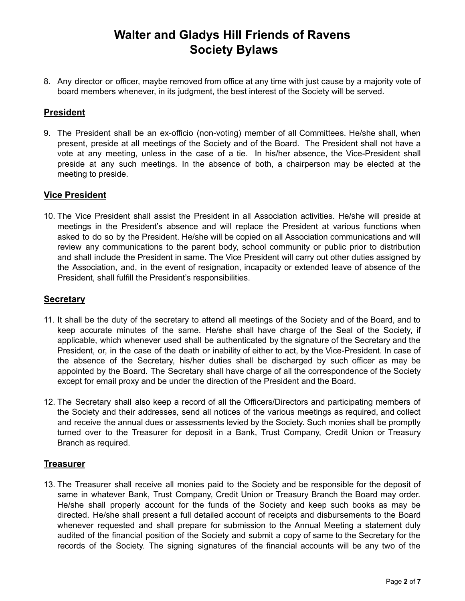8. Any director or officer, maybe removed from office at any time with just cause by a majority vote of board members whenever, in its judgment, the best interest of the Society will be served.

## **President**

9. The President shall be an ex-officio (non-voting) member of all Committees. He/she shall, when present, preside at all meetings of the Society and of the Board. The President shall not have a vote at any meeting, unless in the case of a tie. In his/her absence, the Vice-President shall preside at any such meetings. In the absence of both, a chairperson may be elected at the meeting to preside.

### **Vice President**

10. The Vice President shall assist the President in all Association activities. He/she will preside at meetings in the President's absence and will replace the President at various functions when asked to do so by the President. He/she will be copied on all Association communications and will review any communications to the parent body, school community or public prior to distribution and shall include the President in same. The Vice President will carry out other duties assigned by the Association, and, in the event of resignation, incapacity or extended leave of absence of the President, shall fulfill the President's responsibilities.

### **Secretary**

- 11. It shall be the duty of the secretary to attend all meetings of the Society and of the Board, and to keep accurate minutes of the same. He/she shall have charge of the Seal of the Society, if applicable, which whenever used shall be authenticated by the signature of the Secretary and the President, or, in the case of the death or inability of either to act, by the Vice-President. In case of the absence of the Secretary, his/her duties shall be discharged by such officer as may be appointed by the Board. The Secretary shall have charge of all the correspondence of the Society except for email proxy and be under the direction of the President and the Board.
- 12. The Secretary shall also keep a record of all the Officers/Directors and participating members of the Society and their addresses, send all notices of the various meetings as required, and collect and receive the annual dues or assessments levied by the Society. Such monies shall be promptly turned over to the Treasurer for deposit in a Bank, Trust Company, Credit Union or Treasury Branch as required.

### **Treasurer**

13. The Treasurer shall receive all monies paid to the Society and be responsible for the deposit of same in whatever Bank, Trust Company, Credit Union or Treasury Branch the Board may order. He/she shall properly account for the funds of the Society and keep such books as may be directed. He/she shall present a full detailed account of receipts and disbursements to the Board whenever requested and shall prepare for submission to the Annual Meeting a statement duly audited of the financial position of the Society and submit a copy of same to the Secretary for the records of the Society. The signing signatures of the financial accounts will be any two of the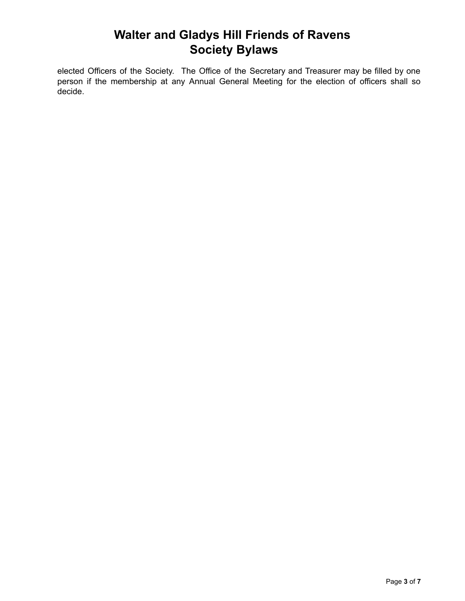elected Officers of the Society. The Office of the Secretary and Treasurer may be filled by one person if the membership at any Annual General Meeting for the election of officers shall so decide.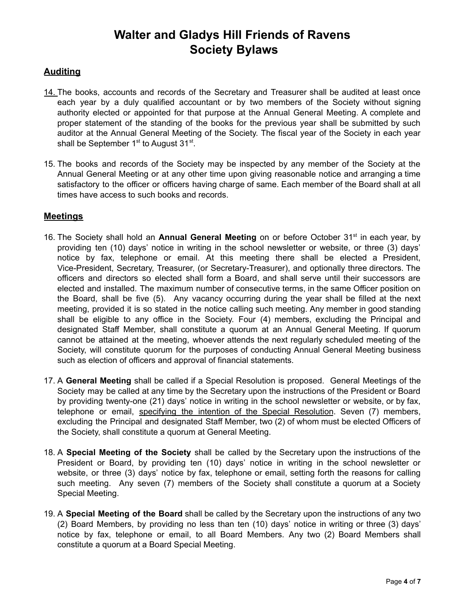## **Auditing**

- 14. The books, accounts and records of the Secretary and Treasurer shall be audited at least once each year by a duly qualified accountant or by two members of the Society without signing authority elected or appointed for that purpose at the Annual General Meeting. A complete and proper statement of the standing of the books for the previous year shall be submitted by such auditor at the Annual General Meeting of the Society. The fiscal year of the Society in each year shall be September  $1^{st}$  to August 31 $^{st}$ .
- 15. The books and records of the Society may be inspected by any member of the Society at the Annual General Meeting or at any other time upon giving reasonable notice and arranging a time satisfactory to the officer or officers having charge of same. Each member of the Board shall at all times have access to such books and records.

## **Meetings**

- 16. The Society shall hold an **Annual General Meeting** on or before October 31<sup>st</sup> in each year, by providing ten (10) days' notice in writing in the school newsletter or website, or three (3) days' notice by fax, telephone or email. At this meeting there shall be elected a President, Vice-President, Secretary, Treasurer, (or Secretary-Treasurer), and optionally three directors. The officers and directors so elected shall form a Board, and shall serve until their successors are elected and installed. The maximum number of consecutive terms, in the same Officer position on the Board, shall be five (5). Any vacancy occurring during the year shall be filled at the next meeting, provided it is so stated in the notice calling such meeting. Any member in good standing shall be eligible to any office in the Society. Four (4) members, excluding the Principal and designated Staff Member, shall constitute a quorum at an Annual General Meeting. If quorum cannot be attained at the meeting, whoever attends the next regularly scheduled meeting of the Society, will constitute quorum for the purposes of conducting Annual General Meeting business such as election of officers and approval of financial statements.
- 17. A **General Meeting** shall be called if a Special Resolution is proposed. General Meetings of the Society may be called at any time by the Secretary upon the instructions of the President or Board by providing twenty-one (21) days' notice in writing in the school newsletter or website, or by fax, telephone or email, specifying the intention of the Special Resolution. Seven (7) members, excluding the Principal and designated Staff Member, two (2) of whom must be elected Officers of the Society, shall constitute a quorum at General Meeting.
- 18. A **Special Meeting of the Society** shall be called by the Secretary upon the instructions of the President or Board, by providing ten (10) days' notice in writing in the school newsletter or website, or three (3) days' notice by fax, telephone or email, setting forth the reasons for calling such meeting. Any seven (7) members of the Society shall constitute a quorum at a Society Special Meeting.
- 19. A **Special Meeting of the Board** shall be called by the Secretary upon the instructions of any two (2) Board Members, by providing no less than ten (10) days' notice in writing or three (3) days' notice by fax, telephone or email, to all Board Members. Any two (2) Board Members shall constitute a quorum at a Board Special Meeting.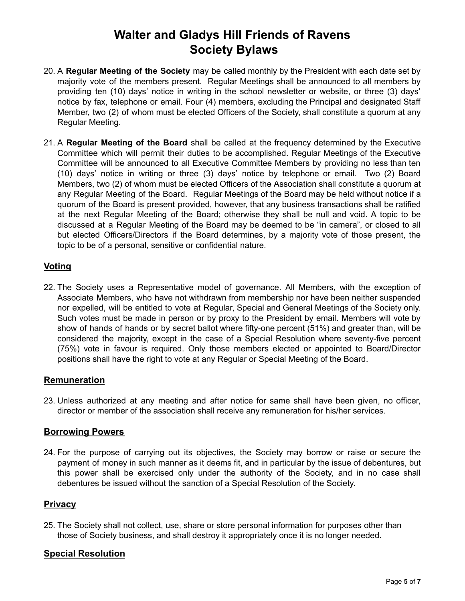- 20. A **Regular Meeting of the Society** may be called monthly by the President with each date set by majority vote of the members present. Regular Meetings shall be announced to all members by providing ten (10) days' notice in writing in the school newsletter or website, or three (3) days' notice by fax, telephone or email. Four (4) members, excluding the Principal and designated Staff Member, two (2) of whom must be elected Officers of the Society, shall constitute a quorum at any Regular Meeting.
- 21. A **Regular Meeting of the Board** shall be called at the frequency determined by the Executive Committee which will permit their duties to be accomplished. Regular Meetings of the Executive Committee will be announced to all Executive Committee Members by providing no less than ten (10) days' notice in writing or three (3) days' notice by telephone or email. Two (2) Board Members, two (2) of whom must be elected Officers of the Association shall constitute a quorum at any Regular Meeting of the Board. Regular Meetings of the Board may be held without notice if a quorum of the Board is present provided, however, that any business transactions shall be ratified at the next Regular Meeting of the Board; otherwise they shall be null and void. A topic to be discussed at a Regular Meeting of the Board may be deemed to be "in camera", or closed to all but elected Officers/Directors if the Board determines, by a majority vote of those present, the topic to be of a personal, sensitive or confidential nature.

## **Voting**

22. The Society uses a Representative model of governance. All Members, with the exception of Associate Members, who have not withdrawn from membership nor have been neither suspended nor expelled, will be entitled to vote at Regular, Special and General Meetings of the Society only. Such votes must be made in person or by proxy to the President by email. Members will vote by show of hands of hands or by secret ballot where fifty-one percent (51%) and greater than, will be considered the majority, except in the case of a Special Resolution where seventy-five percent (75%) vote in favour is required. Only those members elected or appointed to Board/Director positions shall have the right to vote at any Regular or Special Meeting of the Board.

### **Remuneration**

23. Unless authorized at any meeting and after notice for same shall have been given, no officer, director or member of the association shall receive any remuneration for his/her services.

## **Borrowing Powers**

24. For the purpose of carrying out its objectives, the Society may borrow or raise or secure the payment of money in such manner as it deems fit, and in particular by the issue of debentures, but this power shall be exercised only under the authority of the Society, and in no case shall debentures be issued without the sanction of a Special Resolution of the Society.

## **Privacy**

25. The Society shall not collect, use, share or store personal information for purposes other than those of Society business, and shall destroy it appropriately once it is no longer needed.

## **Special Resolution**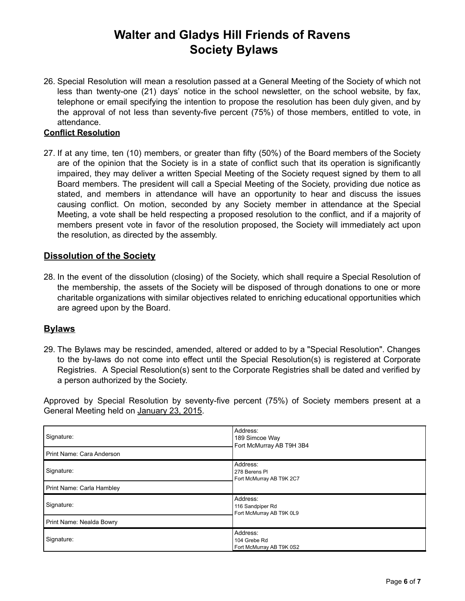26. Special Resolution will mean a resolution passed at a General Meeting of the Society of which not less than twenty-one (21) days' notice in the school newsletter, on the school website, by fax, telephone or email specifying the intention to propose the resolution has been duly given, and by the approval of not less than seventy-five percent (75%) of those members, entitled to vote, in attendance.

### **Conflict Resolution**

27. If at any time, ten (10) members, or greater than fifty (50%) of the Board members of the Society are of the opinion that the Society is in a state of conflict such that its operation is significantly impaired, they may deliver a written Special Meeting of the Society request signed by them to all Board members. The president will call a Special Meeting of the Society, providing due notice as stated, and members in attendance will have an opportunity to hear and discuss the issues causing conflict. On motion, seconded by any Society member in attendance at the Special Meeting, a vote shall be held respecting a proposed resolution to the conflict, and if a majority of members present vote in favor of the resolution proposed, the Society will immediately act upon the resolution, as directed by the assembly.

## **Dissolution of the Society**

28. In the event of the dissolution (closing) of the Society, which shall require a Special Resolution of the membership, the assets of the Society will be disposed of through donations to one or more charitable organizations with similar objectives related to enriching educational opportunities which are agreed upon by the Board.

### **Bylaws**

29. The Bylaws may be rescinded, amended, altered or added to by a "Special Resolution". Changes to the by-laws do not come into effect until the Special Resolution(s) is registered at Corporate Registries. A Special Resolution(s) sent to the Corporate Registries shall be dated and verified by a person authorized by the Society.

Approved by Special Resolution by seventy-five percent (75%) of Society members present at a General Meeting held on January 23, 2015.

| Signature:<br>Print Name: Cara Anderson | Address:<br>189 Simcoe Way<br>Fort McMurray AB T9H 3B4   |
|-----------------------------------------|----------------------------------------------------------|
| Signature:                              | Address:<br>278 Berens PI<br>Fort McMurray AB T9K 2C7    |
| Print Name: Carla Hambley               |                                                          |
| Signature:                              | Address:<br>116 Sandpiper Rd<br>Fort McMurray AB T9K 0L9 |
| Print Name: Nealda Bowry                |                                                          |
| Signature:                              | Address:<br>104 Grebe Rd<br>Fort McMurray AB T9K 0S2     |